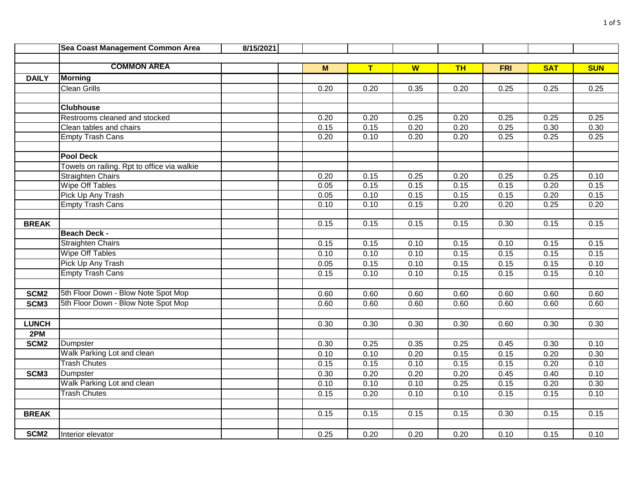|                  | Sea Coast Management Common Area            | 8/15/2021 |      |      |      |           |            |            |            |
|------------------|---------------------------------------------|-----------|------|------|------|-----------|------------|------------|------------|
|                  |                                             |           |      |      |      |           |            |            |            |
|                  | <b>COMMON AREA</b>                          |           | M    | T    | W    | <b>TH</b> | <b>FRI</b> | <b>SAT</b> | <b>SUN</b> |
| <b>DAILY</b>     | <b>Morning</b>                              |           |      |      |      |           |            |            |            |
|                  | <b>Clean Grills</b>                         |           | 0.20 | 0.20 | 0.35 | 0.20      | 0.25       | 0.25       | 0.25       |
|                  |                                             |           |      |      |      |           |            |            |            |
|                  | <b>Clubhouse</b>                            |           |      |      |      |           |            |            |            |
|                  | Restrooms cleaned and stocked               |           | 0.20 | 0.20 | 0.25 | 0.20      | 0.25       | 0.25       | 0.25       |
|                  | Clean tables and chairs                     |           | 0.15 | 0.15 | 0.20 | 0.20      | 0.25       | 0.30       | 0.30       |
|                  | <b>Empty Trash Cans</b>                     |           | 0.20 | 0.10 | 0.20 | 0.20      | 0.25       | 0.25       | 0.25       |
|                  |                                             |           |      |      |      |           |            |            |            |
|                  | <b>Pool Deck</b>                            |           |      |      |      |           |            |            |            |
|                  | Towels on railing. Rpt to office via walkie |           |      |      |      |           |            |            |            |
|                  | <b>Straighten Chairs</b>                    |           | 0.20 | 0.15 | 0.25 | 0.20      | 0.25       | 0.25       | 0.10       |
|                  | Wipe Off Tables                             |           | 0.05 | 0.15 | 0.15 | 0.15      | 0.15       | 0.20       | 0.15       |
|                  | Pick Up Any Trash                           |           | 0.05 | 0.10 | 0.15 | 0.15      | 0.15       | 0.20       | 0.15       |
|                  | <b>Empty Trash Cans</b>                     |           | 0.10 | 0.10 | 0.15 | 0.20      | 0.20       | 0.25       | 0.20       |
|                  |                                             |           |      |      |      |           |            |            |            |
| <b>BREAK</b>     |                                             |           | 0.15 | 0.15 | 0.15 | 0.15      | 0.30       | 0.15       | 0.15       |
|                  | <b>Beach Deck -</b>                         |           |      |      |      |           |            |            |            |
|                  | <b>Straighten Chairs</b>                    |           | 0.15 | 0.15 | 0.10 | 0.15      | 0.10       | 0.15       | 0.15       |
|                  | Wipe Off Tables                             |           | 0.10 | 0.10 | 0.10 | 0.15      | 0.15       | 0.15       | 0.15       |
|                  | Pick Up Any Trash                           |           | 0.05 | 0.15 | 0.10 | 0.15      | 0.15       | 0.15       | 0.10       |
|                  | <b>Empty Trash Cans</b>                     |           | 0.15 | 0.10 | 0.10 | 0.15      | 0.15       | 0.15       | 0.10       |
|                  |                                             |           |      |      |      |           |            |            |            |
| SCM <sub>2</sub> | 5th Floor Down - Blow Note Spot Mop         |           | 0.60 | 0.60 | 0.60 | 0.60      | 0.60       | 0.60       | 0.60       |
| SCM <sub>3</sub> | 5th Floor Down - Blow Note Spot Mop         |           | 0.60 | 0.60 | 0.60 | 0.60      | 0.60       | 0.60       | 0.60       |
|                  |                                             |           |      |      |      |           |            |            |            |
| <b>LUNCH</b>     |                                             |           | 0.30 | 0.30 | 0.30 | 0.30      | 0.60       | 0.30       | 0.30       |
| 2PM              |                                             |           |      |      |      |           |            |            |            |
| SCM <sub>2</sub> | Dumpster                                    |           | 0.30 | 0.25 | 0.35 | 0.25      | 0.45       | 0.30       | 0.10       |
|                  | Walk Parking Lot and clean                  |           | 0.10 | 0.10 | 0.20 | 0.15      | 0.15       | 0.20       | 0.30       |
|                  | <b>Trash Chutes</b>                         |           | 0.15 | 0.15 | 0.10 | 0.15      | 0.15       | 0.20       | 0.10       |
| SCM <sub>3</sub> | Dumpster                                    |           | 0.30 | 0.20 | 0.20 | 0.20      | 0.45       | 0.40       | 0.10       |
|                  | Walk Parking Lot and clean                  |           | 0.10 | 0.10 | 0.10 | 0.25      | 0.15       | 0.20       | 0.30       |
|                  | <b>Trash Chutes</b>                         |           | 0.15 | 0.20 | 0.10 | 0.10      | 0.15       | 0.15       | 0.10       |
|                  |                                             |           |      |      |      |           |            |            |            |
| <b>BREAK</b>     |                                             |           | 0.15 | 0.15 | 0.15 | 0.15      | 0.30       | 0.15       | 0.15       |
|                  |                                             |           |      |      |      |           |            |            |            |
| SCM <sub>2</sub> | Interior elevator                           |           | 0.25 | 0.20 | 0.20 | 0.20      | 0.10       | 0.15       | 0.10       |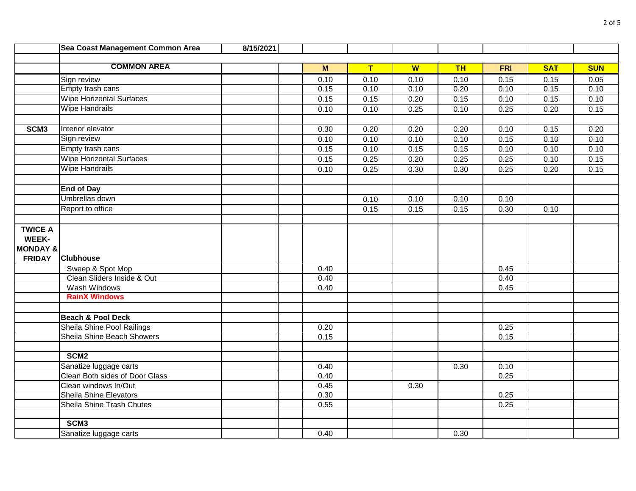|                         | Sea Coast Management Common Area  | 8/15/2021 |      |      |      |           |            |            |            |
|-------------------------|-----------------------------------|-----------|------|------|------|-----------|------------|------------|------------|
|                         |                                   |           |      |      |      |           |            |            |            |
|                         | <b>COMMON AREA</b>                |           | M    | T    | W    | <b>TH</b> | <b>FRI</b> | <b>SAT</b> | <b>SUN</b> |
|                         | Sign review                       |           | 0.10 | 0.10 | 0.10 | 0.10      | 0.15       | 0.15       | 0.05       |
|                         | Empty trash cans                  |           | 0.15 | 0.10 | 0.10 | 0.20      | 0.10       | 0.15       | 0.10       |
|                         | <b>Wipe Horizontal Surfaces</b>   |           | 0.15 | 0.15 | 0.20 | 0.15      | 0.10       | 0.15       | 0.10       |
|                         | <b>Wipe Handrails</b>             |           | 0.10 | 0.10 | 0.25 | 0.10      | 0.25       | 0.20       | 0.15       |
|                         |                                   |           |      |      |      |           |            |            |            |
| SCM <sub>3</sub>        | Interior elevator                 |           | 0.30 | 0.20 | 0.20 | 0.20      | 0.10       | 0.15       | 0.20       |
|                         | Sign review                       |           | 0.10 | 0.10 | 0.10 | 0.10      | 0.15       | 0.10       | 0.10       |
|                         | Empty trash cans                  |           | 0.15 | 0.10 | 0.15 | 0.15      | 0.10       | 0.10       | 0.10       |
|                         | <b>Wipe Horizontal Surfaces</b>   |           | 0.15 | 0.25 | 0.20 | 0.25      | 0.25       | 0.10       | 0.15       |
|                         | <b>Wipe Handrails</b>             |           | 0.10 | 0.25 | 0.30 | 0.30      | 0.25       | 0.20       | 0.15       |
|                         |                                   |           |      |      |      |           |            |            |            |
|                         | <b>End of Day</b>                 |           |      |      |      |           |            |            |            |
|                         | Umbrellas down                    |           |      | 0.10 | 0.10 | 0.10      | 0.10       |            |            |
|                         | Report to office                  |           |      | 0.15 | 0.15 | 0.15      | 0.30       | 0.10       |            |
|                         |                                   |           |      |      |      |           |            |            |            |
| <b>TWICE A</b><br>WEEK- |                                   |           |      |      |      |           |            |            |            |
| <b>MONDAY &amp;</b>     |                                   |           |      |      |      |           |            |            |            |
| <b>FRIDAY</b>           | <b>Clubhouse</b>                  |           |      |      |      |           |            |            |            |
|                         | Sweep & Spot Mop                  |           | 0.40 |      |      |           | 0.45       |            |            |
|                         | Clean Sliders Inside & Out        |           | 0.40 |      |      |           | 0.40       |            |            |
|                         | Wash Windows                      |           | 0.40 |      |      |           | 0.45       |            |            |
|                         | <b>RainX Windows</b>              |           |      |      |      |           |            |            |            |
|                         |                                   |           |      |      |      |           |            |            |            |
|                         | <b>Beach &amp; Pool Deck</b>      |           |      |      |      |           |            |            |            |
|                         | Sheila Shine Pool Railings        |           | 0.20 |      |      |           | 0.25       |            |            |
|                         | <b>Sheila Shine Beach Showers</b> |           | 0.15 |      |      |           | 0.15       |            |            |
|                         |                                   |           |      |      |      |           |            |            |            |
|                         | SCM <sub>2</sub>                  |           |      |      |      |           |            |            |            |
|                         | Sanatize luggage carts            |           | 0.40 |      |      | 0.30      | 0.10       |            |            |
|                         | Clean Both sides of Door Glass    |           | 0.40 |      |      |           | 0.25       |            |            |
|                         | Clean windows In/Out              |           | 0.45 |      | 0.30 |           |            |            |            |
|                         | <b>Sheila Shine Elevators</b>     |           | 0.30 |      |      |           | 0.25       |            |            |
|                         | Sheila Shine Trash Chutes         |           | 0.55 |      |      |           | 0.25       |            |            |
|                         |                                   |           |      |      |      |           |            |            |            |
|                         | SCM <sub>3</sub>                  |           |      |      |      |           |            |            |            |
|                         | Sanatize luggage carts            |           | 0.40 |      |      | 0.30      |            |            |            |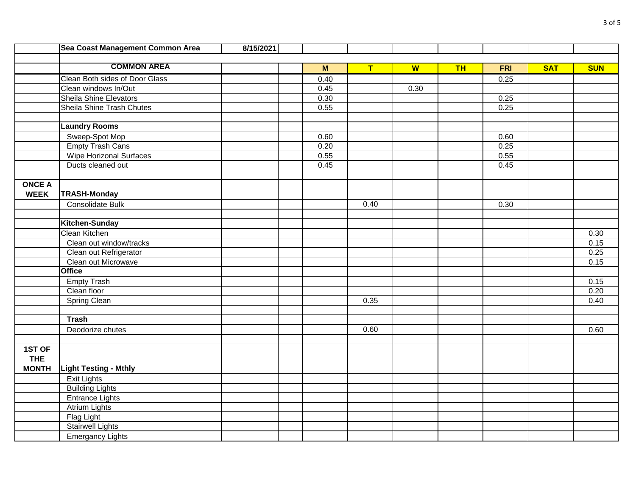|               | Sea Coast Management Common Area | 8/15/2021 |                     |      |      |           |            |            |            |
|---------------|----------------------------------|-----------|---------------------|------|------|-----------|------------|------------|------------|
|               |                                  |           |                     |      |      |           |            |            |            |
|               | <b>COMMON AREA</b>               |           | $\mathsf{M}\xspace$ | T    | W    | <b>TH</b> | <b>FRI</b> | <b>SAT</b> | <b>SUN</b> |
|               | Clean Both sides of Door Glass   |           | 0.40                |      |      |           | 0.25       |            |            |
|               | Clean windows In/Out             |           | 0.45                |      | 0.30 |           |            |            |            |
|               | Sheila Shine Elevators           |           | 0.30                |      |      |           | 0.25       |            |            |
|               | Sheila Shine Trash Chutes        |           | 0.55                |      |      |           | 0.25       |            |            |
|               |                                  |           |                     |      |      |           |            |            |            |
|               | <b>Laundry Rooms</b>             |           |                     |      |      |           |            |            |            |
|               | Sweep-Spot Mop                   |           | 0.60                |      |      |           | 0.60       |            |            |
|               | <b>Empty Trash Cans</b>          |           | 0.20                |      |      |           | 0.25       |            |            |
|               | <b>Wipe Horizonal Surfaces</b>   |           | 0.55                |      |      |           | 0.55       |            |            |
|               | Ducts cleaned out                |           | 0.45                |      |      |           | 0.45       |            |            |
|               |                                  |           |                     |      |      |           |            |            |            |
| <b>ONCE A</b> |                                  |           |                     |      |      |           |            |            |            |
| <b>WEEK</b>   | <b>TRASH-Monday</b>              |           |                     |      |      |           |            |            |            |
|               | Consolidate Bulk                 |           |                     | 0.40 |      |           | 0.30       |            |            |
|               |                                  |           |                     |      |      |           |            |            |            |
|               | <b>Kitchen-Sunday</b>            |           |                     |      |      |           |            |            |            |
|               | Clean Kitchen                    |           |                     |      |      |           |            |            | 0.30       |
|               | Clean out window/tracks          |           |                     |      |      |           |            |            | 0.15       |
|               | Clean out Refrigerator           |           |                     |      |      |           |            |            | 0.25       |
|               | Clean out Microwave              |           |                     |      |      |           |            |            | 0.15       |
|               | <b>Office</b>                    |           |                     |      |      |           |            |            |            |
|               | <b>Empty Trash</b>               |           |                     |      |      |           |            |            | 0.15       |
|               | Clean floor                      |           |                     |      |      |           |            |            | 0.20       |
|               | Spring Clean                     |           |                     | 0.35 |      |           |            |            | 0.40       |
|               |                                  |           |                     |      |      |           |            |            |            |
|               | <b>Trash</b>                     |           |                     |      |      |           |            |            |            |
|               | Deodorize chutes                 |           |                     | 0.60 |      |           |            |            | 0.60       |
|               |                                  |           |                     |      |      |           |            |            |            |
| 1ST OF        |                                  |           |                     |      |      |           |            |            |            |
| <b>THE</b>    |                                  |           |                     |      |      |           |            |            |            |
| <b>MONTH</b>  | <b>Light Testing - Mthly</b>     |           |                     |      |      |           |            |            |            |
|               | <b>Exit Lights</b>               |           |                     |      |      |           |            |            |            |
|               | <b>Building Lights</b>           |           |                     |      |      |           |            |            |            |
|               | <b>Entrance Lights</b>           |           |                     |      |      |           |            |            |            |
|               | <b>Atrium Lights</b>             |           |                     |      |      |           |            |            |            |
|               | Flag Light                       |           |                     |      |      |           |            |            |            |
|               | <b>Stairwell Lights</b>          |           |                     |      |      |           |            |            |            |
|               | <b>Emergancy Lights</b>          |           |                     |      |      |           |            |            |            |